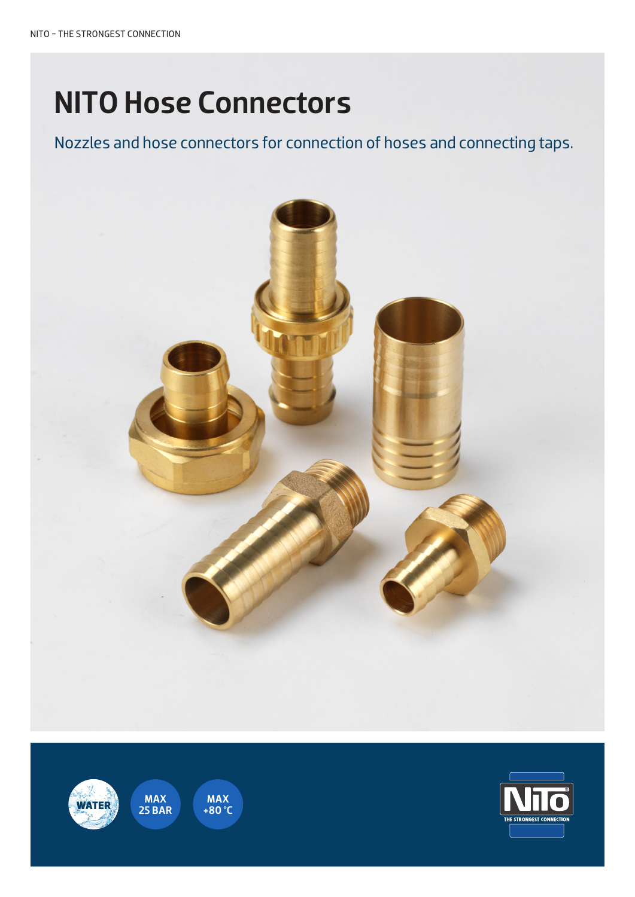# NITO Hose Connectors

Nozzles and hose connectors for connection of hoses and connecting taps.





MAX<br>+80 °C

MAX